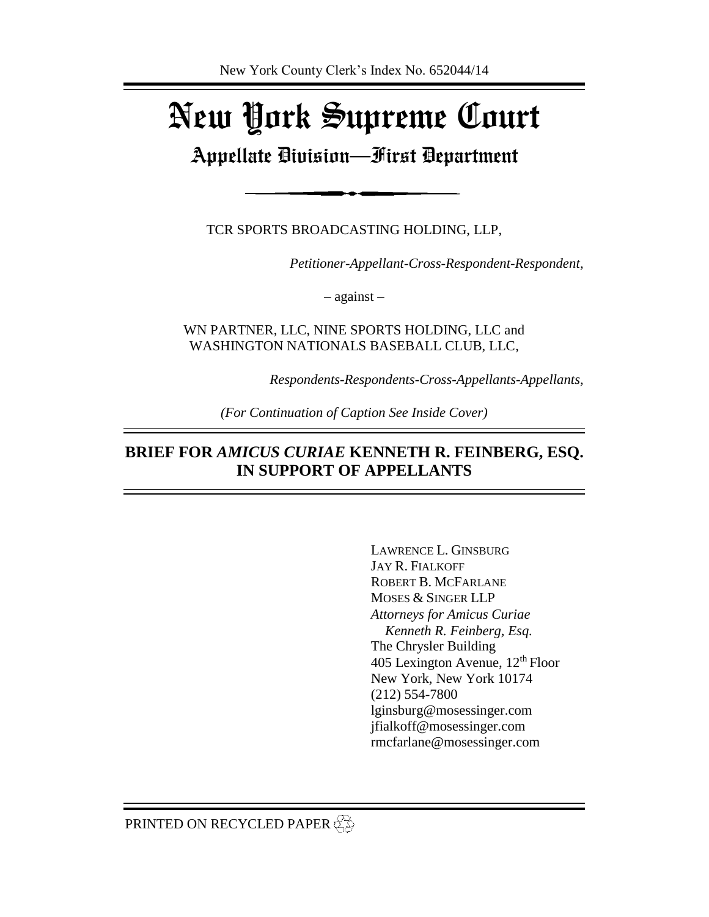# New York Supreme Court

# Appellate Division—First Department

TCR SPORTS BROADCASTING HOLDING, LLP,

*Petitioner-Appellant-Cross-Respondent-Respondent,*

– against –

WN PARTNER, LLC, NINE SPORTS HOLDING, LLC and WASHINGTON NATIONALS BASEBALL CLUB, LLC,

*Respondents-Respondents-Cross-Appellants-Appellants,*

*(For Continuation of Caption See Inside Cover)*

## **BRIEF FOR** *AMICUS CURIAE* **KENNETH R. FEINBERG, ESQ. IN SUPPORT OF APPELLANTS**

LAWRENCE L. GINSBURG JAY R. FIALKOFF ROBERT B. MCFARLANE MOSES & SINGER LLP *Attorneys for Amicus Curiae Kenneth R. Feinberg, Esq.* The Chrysler Building 405 Lexington Avenue,  $12<sup>th</sup>$  Floor New York, New York 10174 (212) 554-7800 lginsburg@mosessinger.com jfialkoff@mosessinger.com rmcfarlane@mosessinger.com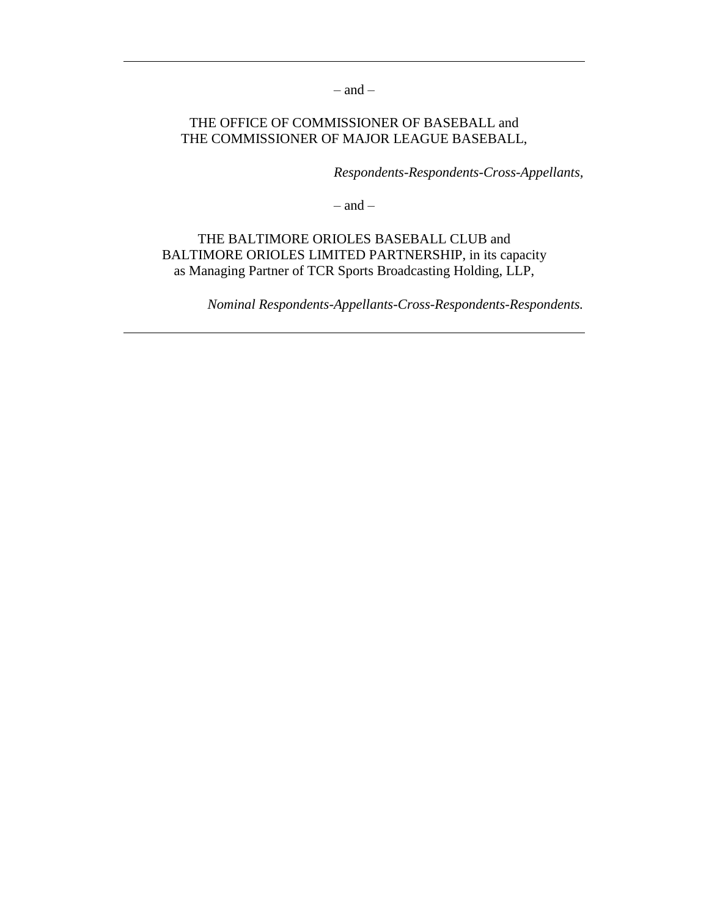$-$  and  $-$ 

#### THE OFFICE OF COMMISSIONER OF BASEBALL and THE COMMISSIONER OF MAJOR LEAGUE BASEBALL,

*Respondents-Respondents-Cross-Appellants,*

 $-$  and  $-$ 

THE BALTIMORE ORIOLES BASEBALL CLUB and BALTIMORE ORIOLES LIMITED PARTNERSHIP, in its capacity as Managing Partner of TCR Sports Broadcasting Holding, LLP,

*Nominal Respondents-Appellants-Cross-Respondents-Respondents.*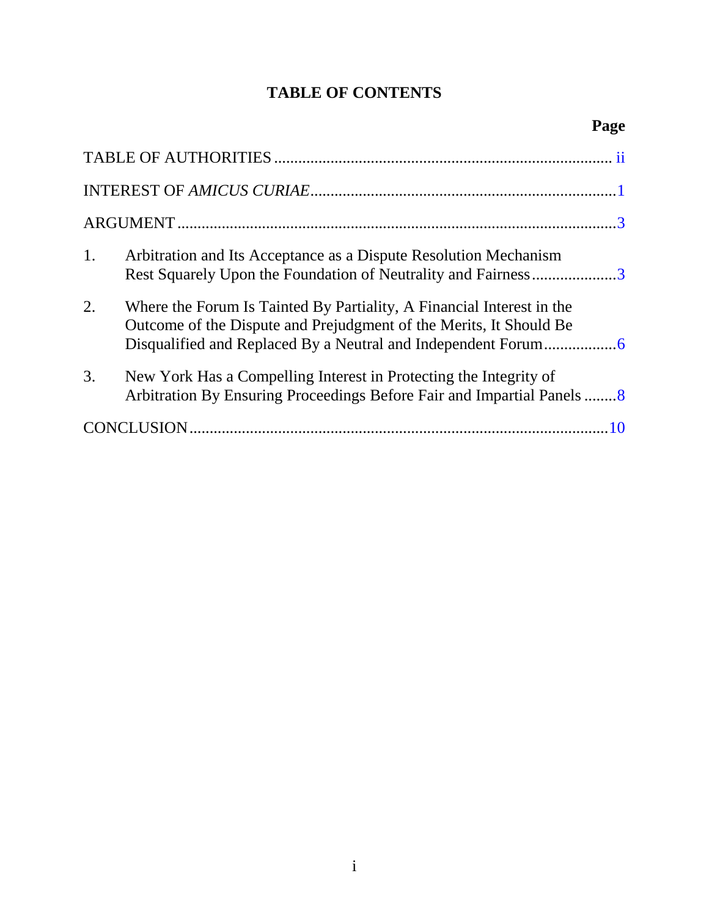# **TABLE OF CONTENTS**

| 1. | Arbitration and Its Acceptance as a Dispute Resolution Mechanism<br>Rest Squarely Upon the Foundation of Neutrality and Fairness3           |  |  |
|----|---------------------------------------------------------------------------------------------------------------------------------------------|--|--|
| 2. | Where the Forum Is Tainted By Partiality, A Financial Interest in the<br>Outcome of the Dispute and Prejudgment of the Merits, It Should Be |  |  |
| 3. | New York Has a Compelling Interest in Protecting the Integrity of<br>Arbitration By Ensuring Proceedings Before Fair and Impartial Panels8  |  |  |
|    |                                                                                                                                             |  |  |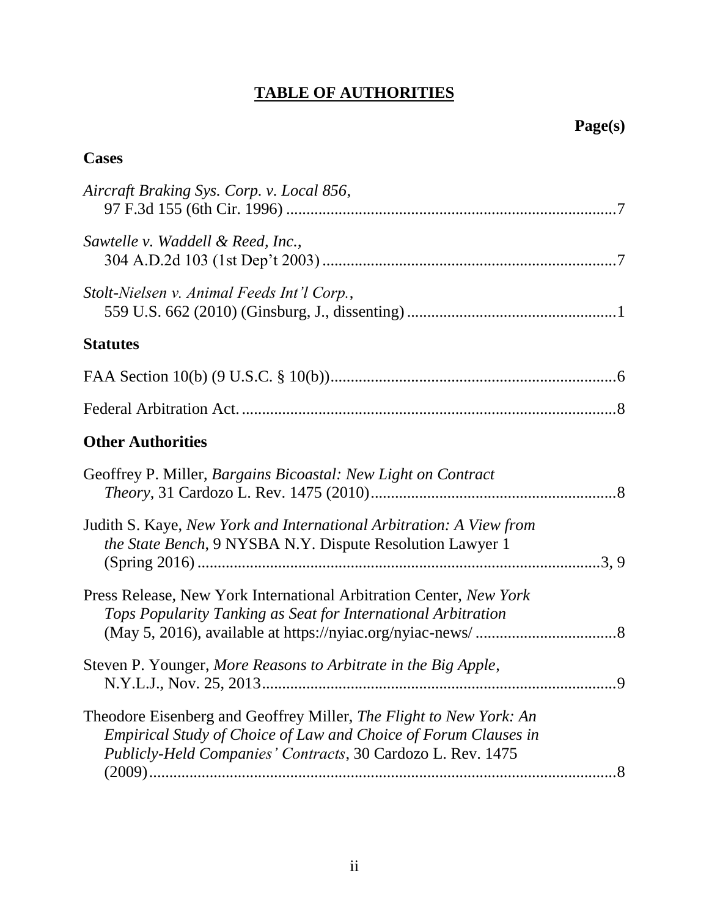# **TABLE OF AUTHORITIES**

## <span id="page-3-0"></span>**Cases**

| Aircraft Braking Sys. Corp. v. Local 856,                                                                                                                                                            |  |
|------------------------------------------------------------------------------------------------------------------------------------------------------------------------------------------------------|--|
| Sawtelle v. Waddell & Reed, Inc.,                                                                                                                                                                    |  |
| Stolt-Nielsen v. Animal Feeds Int'l Corp.,                                                                                                                                                           |  |
| <b>Statutes</b>                                                                                                                                                                                      |  |
|                                                                                                                                                                                                      |  |
|                                                                                                                                                                                                      |  |
| <b>Other Authorities</b>                                                                                                                                                                             |  |
| Geoffrey P. Miller, Bargains Bicoastal: New Light on Contract                                                                                                                                        |  |
| Judith S. Kaye, New York and International Arbitration: A View from<br>the State Bench, 9 NYSBA N.Y. Dispute Resolution Lawyer 1                                                                     |  |
| Press Release, New York International Arbitration Center, New York<br>Tops Popularity Tanking as Seat for International Arbitration                                                                  |  |
| Steven P. Younger, More Reasons to Arbitrate in the Big Apple,                                                                                                                                       |  |
| Theodore Eisenberg and Geoffrey Miller, The Flight to New York: An<br>Empirical Study of Choice of Law and Choice of Forum Clauses in<br>Publicly-Held Companies' Contracts, 30 Cardozo L. Rev. 1475 |  |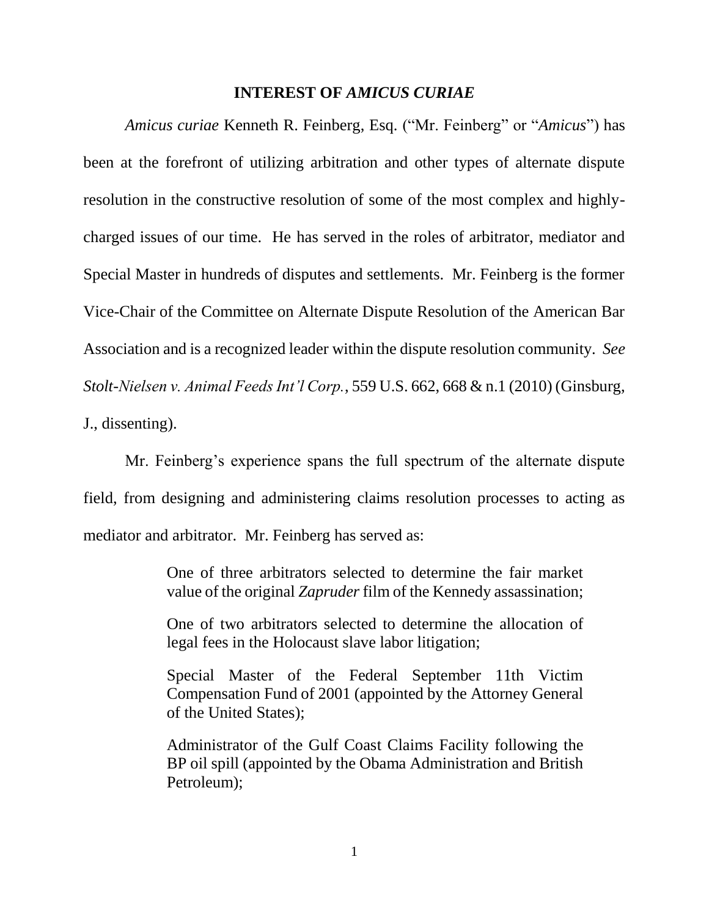#### **INTEREST OF** *AMICUS CURIAE*

<span id="page-4-0"></span>*Amicus curiae* Kenneth R. Feinberg, Esq. ("Mr. Feinberg" or "*Amicus*") has been at the forefront of utilizing arbitration and other types of alternate dispute resolution in the constructive resolution of some of the most complex and highlycharged issues of our time. He has served in the roles of arbitrator, mediator and Special Master in hundreds of disputes and settlements. Mr. Feinberg is the former Vice-Chair of the Committee on Alternate Dispute Resolution of the American Bar Association and is a recognized leader within the dispute resolution community. *See Stolt-Nielsen v. Animal Feeds Int'l Corp.*, 559 U.S. 662, 668 & n.1 (2010) (Ginsburg, J., dissenting).

<span id="page-4-1"></span>Mr. Feinberg's experience spans the full spectrum of the alternate dispute field, from designing and administering claims resolution processes to acting as mediator and arbitrator. Mr. Feinberg has served as:

> One of three arbitrators selected to determine the fair market value of the original *Zapruder* film of the Kennedy assassination;

> One of two arbitrators selected to determine the allocation of legal fees in the Holocaust slave labor litigation;

> Special Master of the Federal September 11th Victim Compensation Fund of 2001 (appointed by the Attorney General of the United States);

> Administrator of the Gulf Coast Claims Facility following the BP oil spill (appointed by the Obama Administration and British Petroleum);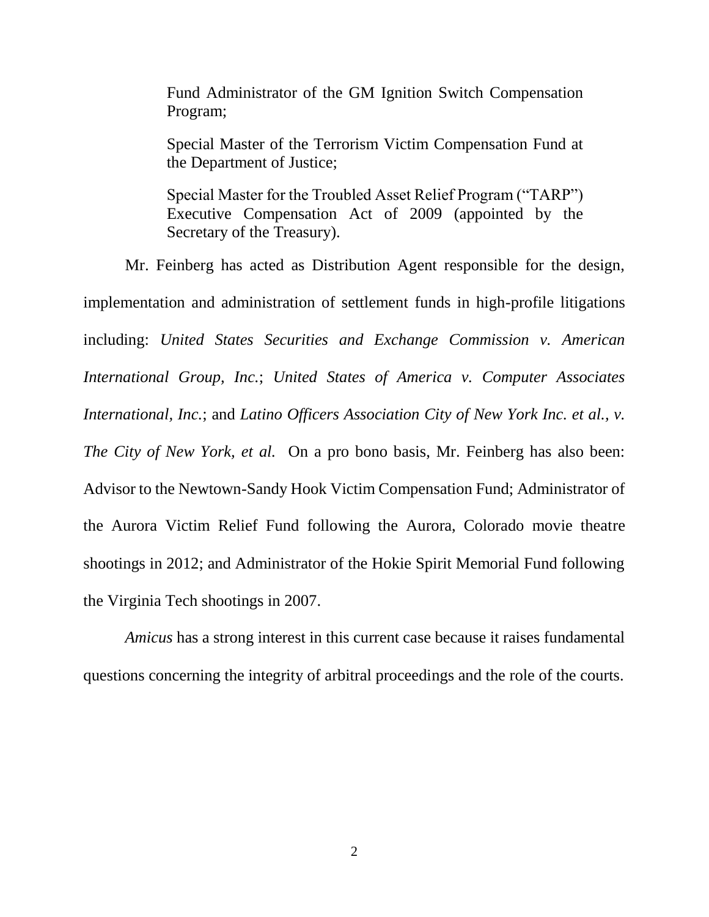Fund Administrator of the GM Ignition Switch Compensation Program;

Special Master of the Terrorism Victim Compensation Fund at the Department of Justice;

Special Master for the Troubled Asset Relief Program ("TARP") Executive Compensation Act of 2009 (appointed by the Secretary of the Treasury).

Mr. Feinberg has acted as Distribution Agent responsible for the design, implementation and administration of settlement funds in high-profile litigations including: *United States Securities and Exchange Commission v. American International Group, Inc.*; *United States of America v. Computer Associates International, Inc.*; and *Latino Officers Association City of New York Inc. et al., v. The City of New York, et al.* On a pro bono basis, Mr. Feinberg has also been: Advisor to the Newtown-Sandy Hook Victim Compensation Fund; Administrator of the Aurora Victim Relief Fund following the Aurora, Colorado movie theatre shootings in 2012; and Administrator of the Hokie Spirit Memorial Fund following the Virginia Tech shootings in 2007.

*Amicus* has a strong interest in this current case because it raises fundamental questions concerning the integrity of arbitral proceedings and the role of the courts.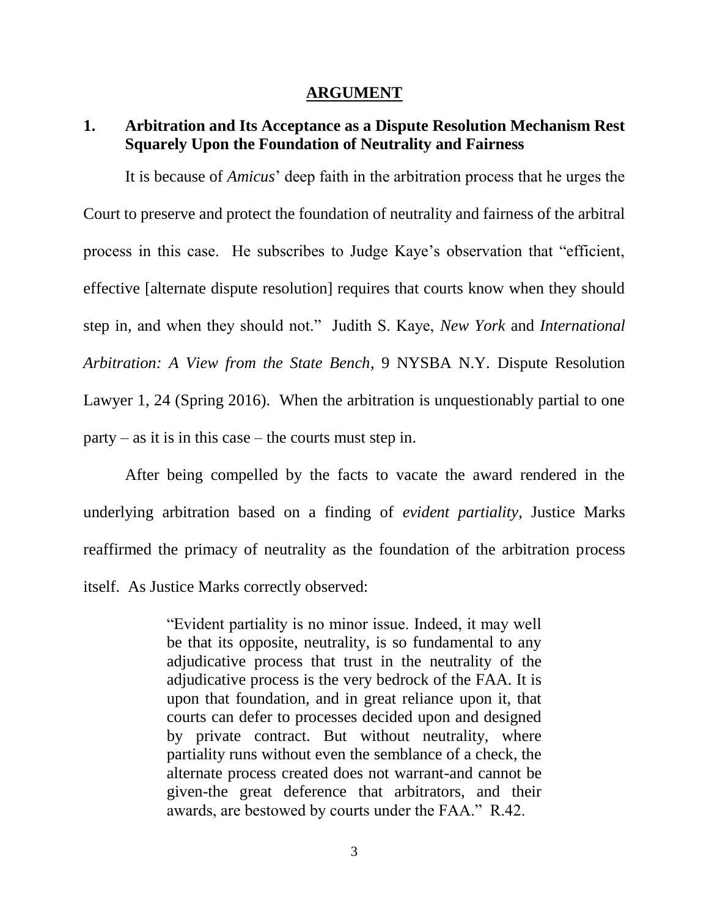#### **ARGUMENT**

#### <span id="page-6-0"></span>**1. Arbitration and Its Acceptance as a Dispute Resolution Mechanism Rest Squarely Upon the Foundation of Neutrality and Fairness**

It is because of *Amicus*' deep faith in the arbitration process that he urges the Court to preserve and protect the foundation of neutrality and fairness of the arbitral process in this case. He subscribes to Judge Kaye's observation that "efficient, effective [alternate dispute resolution] requires that courts know when they should step in, and when they should not." Judith S. Kaye, *New York* and *International Arbitration: A View from the State Bench*, 9 NYSBA N.Y. Dispute Resolution Lawyer 1, 24 (Spring 2016). When the arbitration is unquestionably partial to one  $party - as$  it is in this case – the courts must step in.

After being compelled by the facts to vacate the award rendered in the underlying arbitration based on a finding of *evident partiality*, Justice Marks reaffirmed the primacy of neutrality as the foundation of the arbitration process itself. As Justice Marks correctly observed:

> "Evident partiality is no minor issue. Indeed, it may well be that its opposite, neutrality, is so fundamental to any adjudicative process that trust in the neutrality of the adjudicative process is the very bedrock of the FAA. It is upon that foundation, and in great reliance upon it, that courts can defer to processes decided upon and designed by private contract. But without neutrality, where partiality runs without even the semblance of a check, the alternate process created does not warrant-and cannot be given-the great deference that arbitrators, and their awards, are bestowed by courts under the FAA." R.42.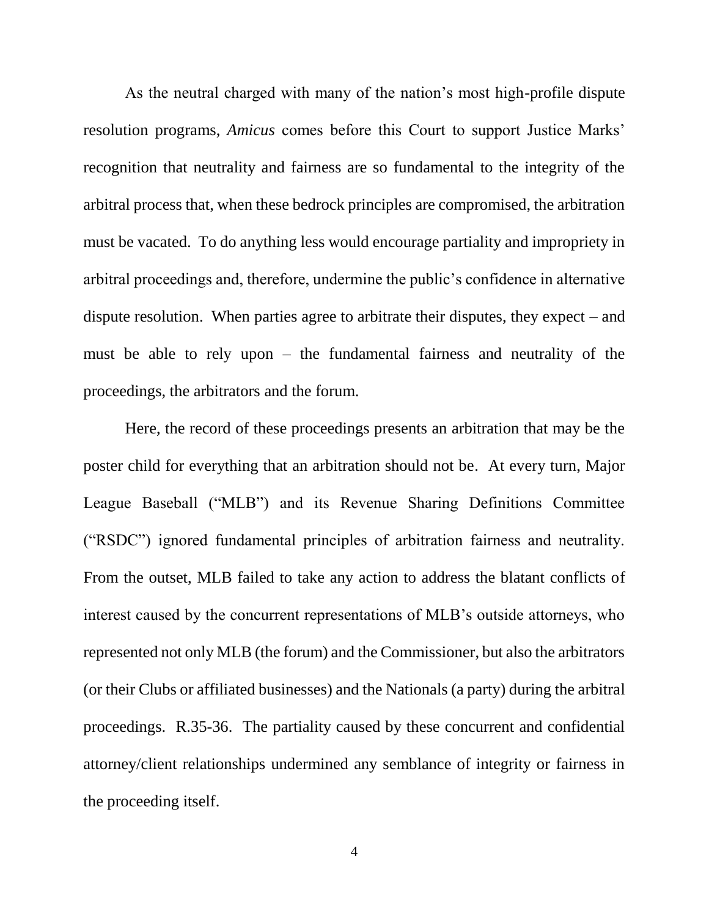As the neutral charged with many of the nation's most high-profile dispute resolution programs, *Amicus* comes before this Court to support Justice Marks' recognition that neutrality and fairness are so fundamental to the integrity of the arbitral process that, when these bedrock principles are compromised, the arbitration must be vacated. To do anything less would encourage partiality and impropriety in arbitral proceedings and, therefore, undermine the public's confidence in alternative dispute resolution. When parties agree to arbitrate their disputes, they expect – and must be able to rely upon – the fundamental fairness and neutrality of the proceedings, the arbitrators and the forum.

Here, the record of these proceedings presents an arbitration that may be the poster child for everything that an arbitration should not be. At every turn, Major League Baseball ("MLB") and its Revenue Sharing Definitions Committee ("RSDC") ignored fundamental principles of arbitration fairness and neutrality. From the outset, MLB failed to take any action to address the blatant conflicts of interest caused by the concurrent representations of MLB's outside attorneys, who represented not only MLB (the forum) and the Commissioner, but also the arbitrators (or their Clubs or affiliated businesses) and the Nationals (a party) during the arbitral proceedings. R.35-36. The partiality caused by these concurrent and confidential attorney/client relationships undermined any semblance of integrity or fairness in the proceeding itself.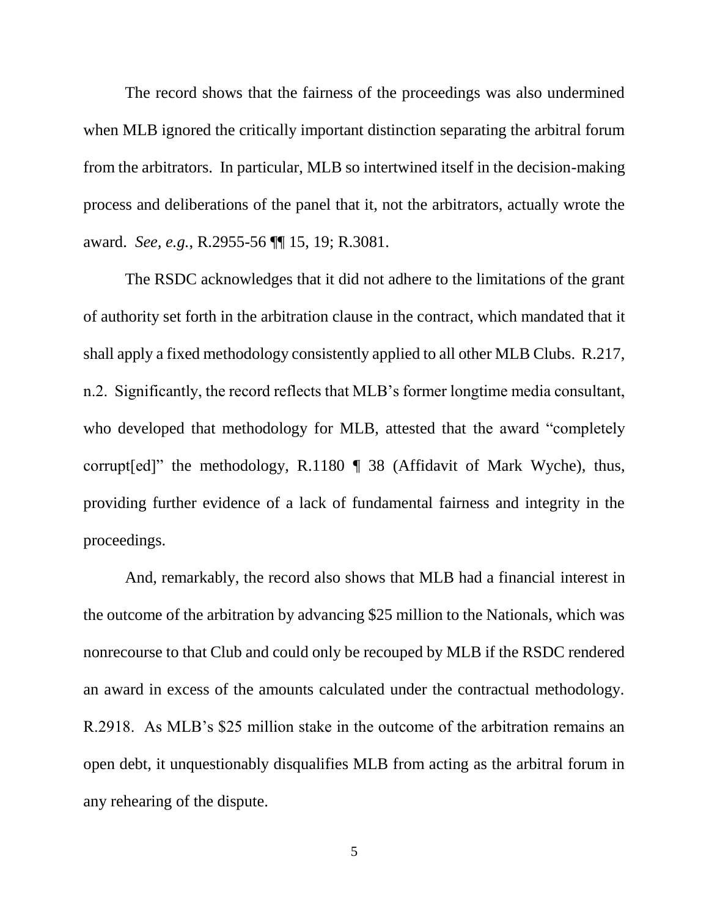The record shows that the fairness of the proceedings was also undermined when MLB ignored the critically important distinction separating the arbitral forum from the arbitrators. In particular, MLB so intertwined itself in the decision-making process and deliberations of the panel that it, not the arbitrators, actually wrote the award. *See, e.g.*, R.2955-56 ¶¶ 15, 19; R.3081.

The RSDC acknowledges that it did not adhere to the limitations of the grant of authority set forth in the arbitration clause in the contract, which mandated that it shall apply a fixed methodology consistently applied to all other MLB Clubs. R.217, n.2. Significantly, the record reflects that MLB's former longtime media consultant, who developed that methodology for MLB, attested that the award "completely corrupt[ed]" the methodology, R.1180 ¶ 38 (Affidavit of Mark Wyche), thus, providing further evidence of a lack of fundamental fairness and integrity in the proceedings.

And, remarkably, the record also shows that MLB had a financial interest in the outcome of the arbitration by advancing \$25 million to the Nationals, which was nonrecourse to that Club and could only be recouped by MLB if the RSDC rendered an award in excess of the amounts calculated under the contractual methodology. R.2918. As MLB's \$25 million stake in the outcome of the arbitration remains an open debt, it unquestionably disqualifies MLB from acting as the arbitral forum in any rehearing of the dispute.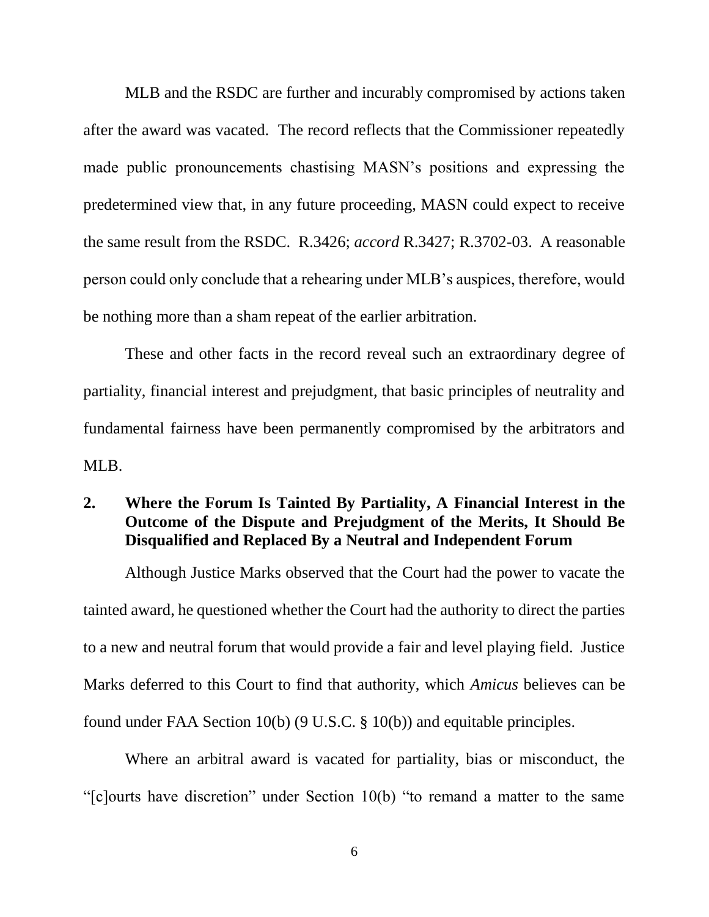<span id="page-9-0"></span>MLB and the RSDC are further and incurably compromised by actions taken after the award was vacated. The record reflects that the Commissioner repeatedly made public pronouncements chastising MASN's positions and expressing the predetermined view that, in any future proceeding, MASN could expect to receive the same result from the RSDC. R.3426; *accord* R.3427; R.3702-03. A reasonable person could only conclude that a rehearing under MLB's auspices, therefore, would be nothing more than a sham repeat of the earlier arbitration.

These and other facts in the record reveal such an extraordinary degree of partiality, financial interest and prejudgment, that basic principles of neutrality and fundamental fairness have been permanently compromised by the arbitrators and MLB.

## **2. Where the Forum Is Tainted By Partiality, A Financial Interest in the Outcome of the Dispute and Prejudgment of the Merits, It Should Be Disqualified and Replaced By a Neutral and Independent Forum**

Although Justice Marks observed that the Court had the power to vacate the tainted award, he questioned whether the Court had the authority to direct the parties to a new and neutral forum that would provide a fair and level playing field. Justice Marks deferred to this Court to find that authority, which *Amicus* believes can be found under FAA Section 10(b) (9 U.S.C. § 10(b)) and equitable principles.

<span id="page-9-1"></span>Where an arbitral award is vacated for partiality, bias or misconduct, the "[c]ourts have discretion" under Section 10(b) "to remand a matter to the same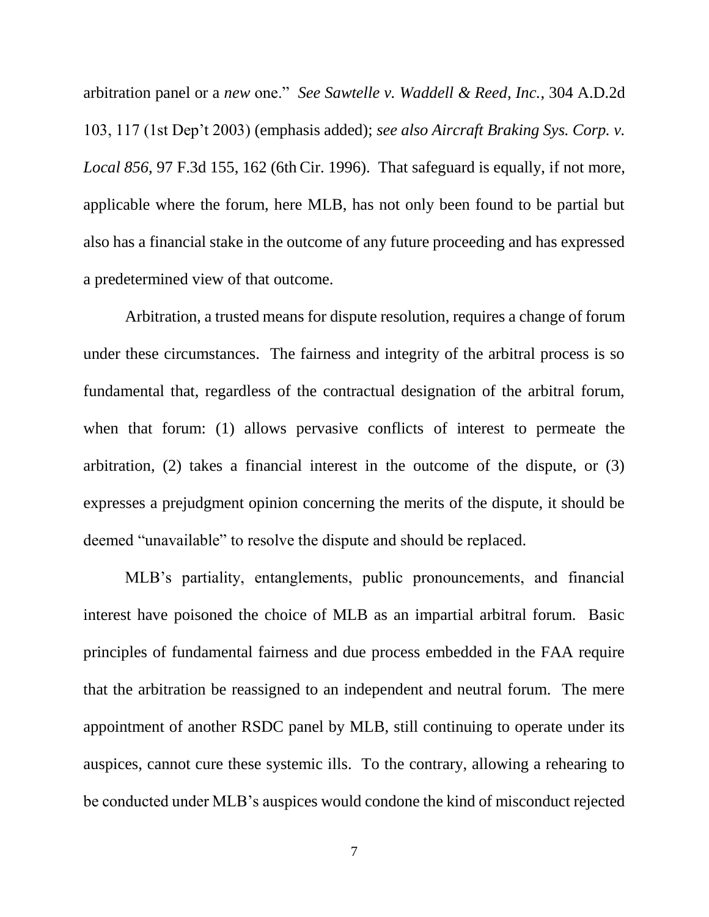<span id="page-10-1"></span><span id="page-10-0"></span>arbitration panel or a *new* one." *See Sawtelle v. Waddell & Reed, Inc.*, 304 A.D.2d 103, 117 (1st Dep't 2003) (emphasis added); *see also Aircraft Braking Sys. Corp. v. Local 856*, 97 F.3d 155, 162 (6th Cir. 1996). That safeguard is equally, if not more, applicable where the forum, here MLB, has not only been found to be partial but also has a financial stake in the outcome of any future proceeding and has expressed a predetermined view of that outcome.

Arbitration, a trusted means for dispute resolution, requires a change of forum under these circumstances. The fairness and integrity of the arbitral process is so fundamental that, regardless of the contractual designation of the arbitral forum, when that forum: (1) allows pervasive conflicts of interest to permeate the arbitration, (2) takes a financial interest in the outcome of the dispute, or (3) expresses a prejudgment opinion concerning the merits of the dispute, it should be deemed "unavailable" to resolve the dispute and should be replaced.

MLB's partiality, entanglements, public pronouncements, and financial interest have poisoned the choice of MLB as an impartial arbitral forum. Basic principles of fundamental fairness and due process embedded in the FAA require that the arbitration be reassigned to an independent and neutral forum. The mere appointment of another RSDC panel by MLB, still continuing to operate under its auspices, cannot cure these systemic ills. To the contrary, allowing a rehearing to be conducted under MLB's auspices would condone the kind of misconduct rejected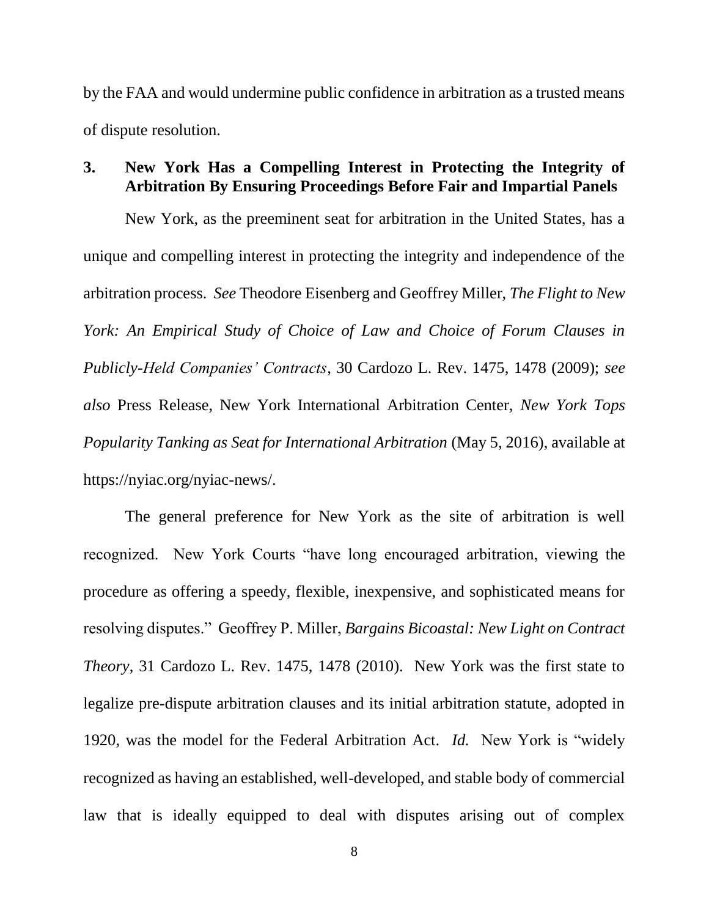<span id="page-11-0"></span>by the FAA and would undermine public confidence in arbitration as a trusted means of dispute resolution.

### **3. New York Has a Compelling Interest in Protecting the Integrity of Arbitration By Ensuring Proceedings Before Fair and Impartial Panels**

<span id="page-11-4"></span>New York, as the preeminent seat for arbitration in the United States, has a unique and compelling interest in protecting the integrity and independence of the arbitration process. *See* Theodore Eisenberg and Geoffrey Miller, *The Flight to New York: An Empirical Study of Choice of Law and Choice of Forum Clauses in Publicly-Held Companies' Contracts*, 30 Cardozo L. Rev. 1475, 1478 (2009); *see also* Press Release, New York International Arbitration Center, *New York Tops Popularity Tanking as Seat for International Arbitration* (May 5, 2016), available at https://nyiac.org/nyiac-news/.

<span id="page-11-3"></span><span id="page-11-2"></span><span id="page-11-1"></span>The general preference for New York as the site of arbitration is well recognized. New York Courts "have long encouraged arbitration, viewing the procedure as offering a speedy, flexible, inexpensive, and sophisticated means for resolving disputes." Geoffrey P. Miller, *Bargains Bicoastal: New Light on Contract Theory*, 31 Cardozo L. Rev. 1475, 1478 (2010). New York was the first state to legalize pre-dispute arbitration clauses and its initial arbitration statute, adopted in 1920, was the model for the Federal Arbitration Act. *Id.* New York is "widely recognized as having an established, well-developed, and stable body of commercial law that is ideally equipped to deal with disputes arising out of complex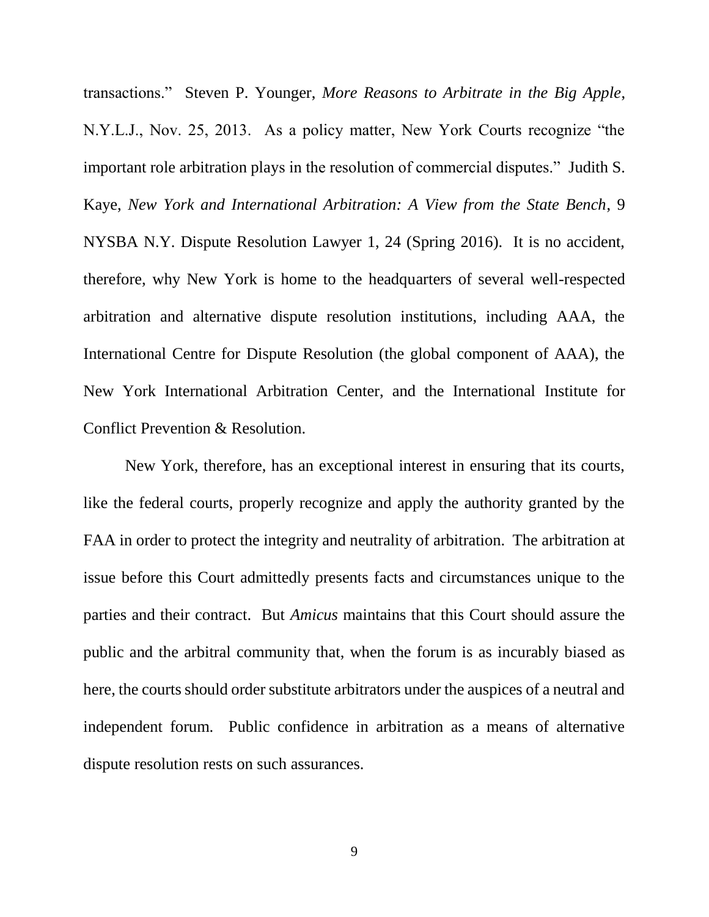<span id="page-12-1"></span><span id="page-12-0"></span>transactions." Steven P. Younger, *More Reasons to Arbitrate in the Big Apple*, N.Y.L.J., Nov. 25, 2013. As a policy matter, New York Courts recognize "the important role arbitration plays in the resolution of commercial disputes." Judith S. Kaye, *New York and International Arbitration: A View from the State Bench*, 9 NYSBA N.Y. Dispute Resolution Lawyer 1, 24 (Spring 2016). It is no accident, therefore, why New York is home to the headquarters of several well-respected arbitration and alternative dispute resolution institutions, including AAA, the International Centre for Dispute Resolution (the global component of AAA), the New York International Arbitration Center, and the International Institute for Conflict Prevention & Resolution.

New York, therefore, has an exceptional interest in ensuring that its courts, like the federal courts, properly recognize and apply the authority granted by the FAA in order to protect the integrity and neutrality of arbitration. The arbitration at issue before this Court admittedly presents facts and circumstances unique to the parties and their contract. But *Amicus* maintains that this Court should assure the public and the arbitral community that, when the forum is as incurably biased as here, the courts should order substitute arbitrators under the auspices of a neutral and independent forum. Public confidence in arbitration as a means of alternative dispute resolution rests on such assurances.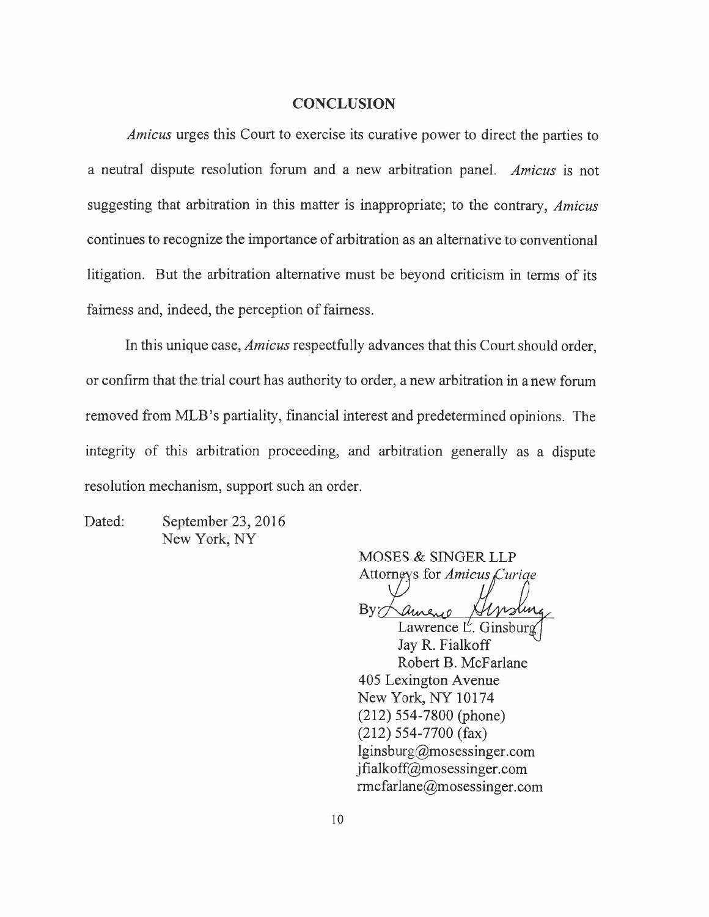#### <span id="page-13-0"></span>**CONCLUSION**

*Amicus* urges this Court to exercise its curative power to direct the parties to a neutral dispute resolution forum and a new arbitration panel. *Amicus* is not suggesting that arbitration in this matter is inappropriate; to the contrary, *Amicus*  continues to recognize the importance of arbitration as an alternative to conventional litigation. But the arbitration alternative must be beyond criticism in terms of its fairness and, indeed, the perception of fairness.

In this unique case, *Amicus* respectfully advances that this Court should order, or confirm that the trial court has authority to order, a new arbitration in a new forum removed from MLB's partiality, financial interest and predetermined opinions. The integrity of this arbitration proceeding, and arbitration generally as a dispute resolution mechanism, support such an order.

Dated: September 23, 2016 New York, NY

MOSES & SINGER LLP Attorneys for Amicus Curiae

 $\rm By$ nstin  $2.10$ 

Lawrence  $L^{\ell}$ . Ginsburg Jay R. Fialkoff Robert B. McFarlane 405 Lexington Avenue New York, NY 10174 (212) 554-7800 (phone) (212) 554-7700 (fax)  $lginsburg@mosesinger.com$ jfialkoff@mosessinger.com rmcfarlane@mosessinger.com